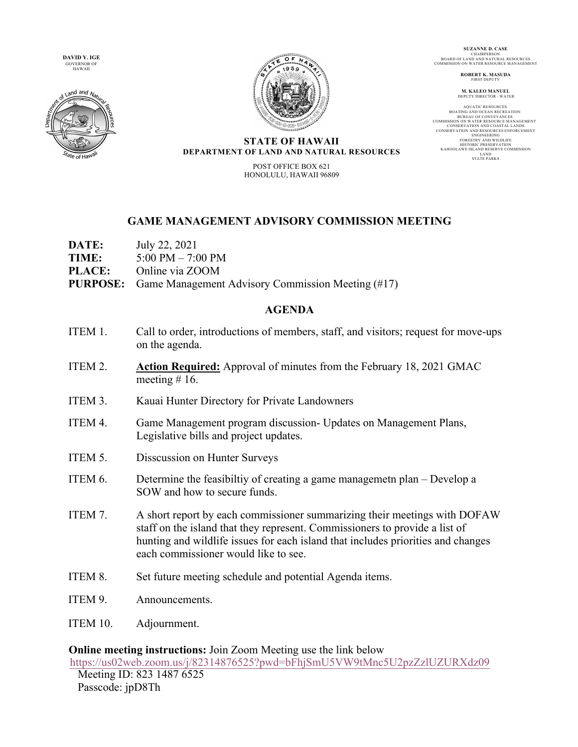**DAVID Y. IGE**  GOVERNOR OF HAWAII





**SUZANNE D. CASE** CHAIRPERSON BOARD OF LAND AND NATURAL RESOURCES COMMISSION ON WATER RESOURCE MANAGEMENT

> **ROBERT K. MASUDA** FIRST DEPUT

**M. KALEO MANUEL** DEPUTY DIRECTOR - WATER

AQUATIC RESOURCES<br>BOATING AND OCEAN RECREATION<br>BUREAU OF CONVEYANCES<br>COMMISSION ON WATER RESOURCE MANAGEMENT CONSERVATION AND COASTAL LANDS CONSERVATION AND RESOURCES ENFORCEMENT ENGINEERING FORESTRY AND WILDLIFE HISTORIC PRESERVATION<br>KAHOOLAWE ISLAND RESERVE COMMISSION<br>LAND<br>STATE PARKS

#### **STATE OF HAWAII DEPARTMENT OF LAND AND NATURAL RESOURCES**

POST OFFICE BOX 621 HONOLULU, HAWAII 96809

# **GAME MANAGEMENT ADVISORY COMMISSION MEETING**

| <b>DATE:</b>  | July 22, 2021                                                     |
|---------------|-------------------------------------------------------------------|
| <b>TIME:</b>  | 5:00 PM $-$ 7:00 PM                                               |
| <b>PLACE:</b> | Online via ZOOM                                                   |
|               | <b>PURPOSE:</b> Game Management Advisory Commission Meeting (#17) |

# **AGENDA**

- ITEM 1. Call to order, introductions of members, staff, and visitors; request for move-ups on the agenda.
- ITEM 2. **Action Required:** Approval of minutes from the February 18, 2021 GMAC meeting  $# 16$ .
- ITEM 3. Kauai Hunter Directory for Private Landowners
- ITEM 4. Game Management program discussion- Updates on Management Plans, Legislative bills and project updates.
- ITEM 5. Disscussion on Hunter Surveys
- ITEM 6. Determine the feasibiltiy of creating a game managemetn plan Develop a SOW and how to secure funds.
- ITEM 7. A short report by each commissioner summarizing their meetings with DOFAW staff on the island that they represent. Commissioners to provide a list of hunting and wildlife issues for each island that includes priorities and changes each commissioner would like to see.
- ITEM 8. Set future meeting schedule and potential Agenda items.
- ITEM 9. Announcements.
- ITEM 10. Adjournment.

#### **Online meeting instructions:** Join Zoom Meeting use the link below https://us02web.zoom.us/j/82314876525?pwd=bFhjSmU5VW9tMnc5U2pzZzlUZURXdz09 Meeting ID: 823 1487 6525

Passcode: jpD8Th